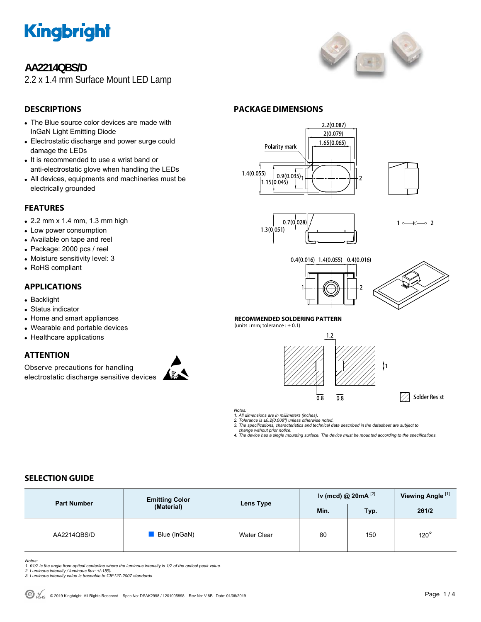

# **AA2214QBS/D**

2.2 x 1.4 mm Surface Mount LED Lamp



# **DESCRIPTIONS**

- The Blue source color devices are made with InGaN Light Emitting Diode
- Electrostatic discharge and power surge could damage the LEDs
- It is recommended to use a wrist band or anti-electrostatic glove when handling the LEDs
- All devices, equipments and machineries must be electrically grounded

# **FEATURES**

- $\bullet$  2.2 mm x 1.4 mm, 1.3 mm high
- Low power consumption
- Available on tape and reel
- Package: 2000 pcs / reel
- Moisture sensitivity level: 3
- RoHS compliant

## **APPLICATIONS**

- Backlight
- Status indicator
- Home and smart appliances
- Wearable and portable devices
- Healthcare applications

## **ATTENTION**

Observe precautions for handling electrostatic discharge sensitive devices



# **PACKAGE DIMENSIONS**







 $1 \rightarrow \rightarrow \rightarrow$ 





A Solder Resist

#### **RECOMMENDED SOLDERING PATTERN**

(units : mm; tolerance  $: \pm 0.1$ )



*Notes:* 

*1. All dimensions are in millimeters (inches). 2. Tolerance is ±0.2(0.008") unless otherwise noted.* 

*3. The specifications, characteristics and technical data described in the datasheet are subject to change without prior notice.* 

*4. The device has a single mounting surface. The device must be mounted according to the specifications.* 

# **SELECTION GUIDE**

| <b>Part Number</b> | <b>Emitting Color</b><br>(Material) | Lens Type          | Iv (mcd) @ $20mA$ <sup>[2]</sup> |      | Viewing Angle <sup>[1]</sup> |
|--------------------|-------------------------------------|--------------------|----------------------------------|------|------------------------------|
|                    |                                     |                    | Min.                             | Typ. | 201/2                        |
| AA2214QBS/D        | Blue (InGaN)                        | <b>Water Clear</b> | 80                               | 150  | $120^\circ$                  |

*Notes:* 

- *1. θ1/2 is the angle from optical centerline where the luminous intensity is 1/2 of the optical peak value. 2. Luminous intensity / luminous flux: +/-15%.*
- *3. Luminous intensity value is traceable to CIE127-2007 standards.*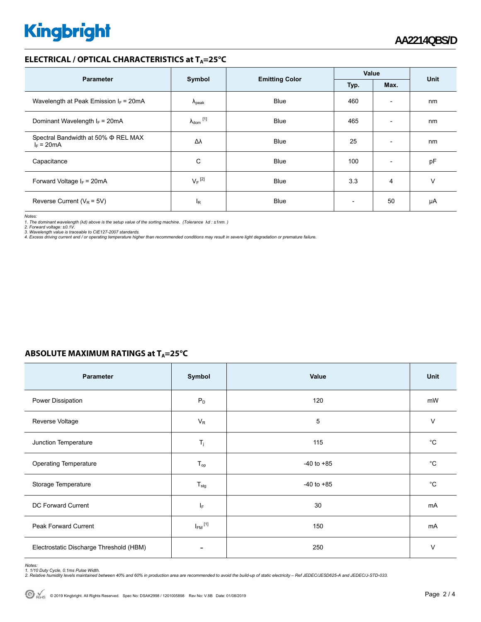# **Kingbright**

### **ELECTRICAL / OPTICAL CHARACTERISTICS at T<sub>A</sub>=25°C**

| <b>Parameter</b>                                         | Symbol               |                       | Value                    |                          | <b>Unit</b> |
|----------------------------------------------------------|----------------------|-----------------------|--------------------------|--------------------------|-------------|
|                                                          |                      | <b>Emitting Color</b> | Typ.                     | Max.                     |             |
| Wavelength at Peak Emission $I_F = 20mA$                 | $\Lambda_{\rm peak}$ | <b>Blue</b>           | 460                      | $\overline{\phantom{a}}$ | nm          |
| Dominant Wavelength $I_F = 20 \text{mA}$                 | $\lambda_{dom}$ [1]  | <b>Blue</b>           | 465                      | $\overline{\phantom{a}}$ | nm          |
| Spectral Bandwidth at 50% $\Phi$ REL MAX<br>$I_F = 20mA$ | Δλ                   | <b>Blue</b>           | 25                       | $\overline{\phantom{a}}$ | nm          |
| Capacitance                                              | С                    | <b>Blue</b>           | 100                      | $\overline{\phantom{a}}$ | pF          |
| Forward Voltage $I_F$ = 20mA                             | $V_F$ <sup>[2]</sup> | <b>Blue</b>           | 3.3                      | 4                        | v           |
| Reverse Current ( $V_R$ = 5V)                            | l <sub>R</sub>       | <b>Blue</b>           | $\overline{\phantom{0}}$ | 50                       | μA          |

*Notes:* 

1. The dominant wavelength (λd) above is the setup value of the sorting machine. (Tolerance λd : ±1nm. )<br>2. Forward voltage: ±0.1V.<br>3. Wavelength value is traceable to CIE127-2007 standards.<br>4. Excess driving current and /

### **ABSOLUTE MAXIMUM RATINGS at T<sub>A</sub>=25°C**

| <b>Parameter</b>                        | Symbol                   | Value          | <b>Unit</b> |
|-----------------------------------------|--------------------------|----------------|-------------|
| Power Dissipation                       | $P_D$                    | 120            | mW          |
| Reverse Voltage                         | $V_R$                    | 5              | V           |
| Junction Temperature                    | $T_j$                    | 115            | °C          |
| <b>Operating Temperature</b>            | $T_{op}$                 | $-40$ to $+85$ | $^{\circ}C$ |
| Storage Temperature                     | $T_{\text{stg}}$         | $-40$ to $+85$ | °C          |
| DC Forward Current                      | IF.                      | 30             | mA          |
| Peak Forward Current                    | $I_{FM}$ <sup>[1]</sup>  | 150            | mA          |
| Electrostatic Discharge Threshold (HBM) | $\overline{\phantom{a}}$ | 250            | V           |

Notes:<br>1. 1/10 Duty Cycle, 0.1ms Pulse Width.<br>2. Relative humidity levels maintained between 40% and 60% in production area are recommended to avoid the build-up of static electricity – Ref JEDEC/JESD625-A and JEDEC/J-STD-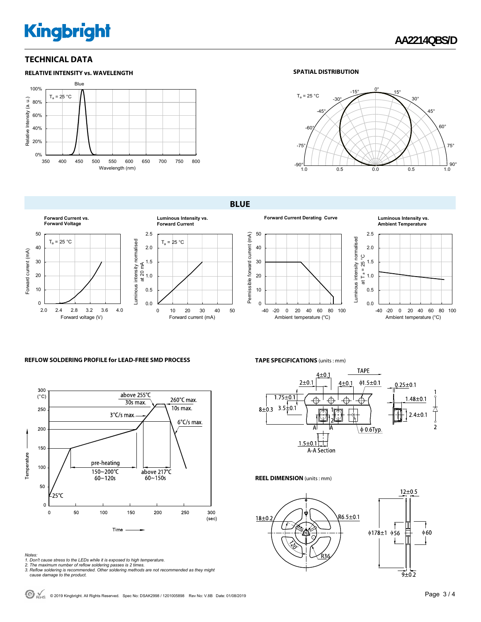# **Kingbright**

## **TECHNICAL DATA**



#### **SPATIAL DISTRIBUTION**



**BLUE** 





#### **Forward Current Derating Curve Luminous Intensity vs. Ambient Temperature**



#### **REFLOW SOLDERING PROFILE for LEAD-FREE SMD PROCESS**



- 
- 
- Notes:<br>1. Don't cause stress to the LEDs while it is exposed to high temperature.<br>2. The maximum number of reflow soldering passes is 2 times.<br>3. Reflow soldering is recommended. Other soldering methods are not recommended

**TAPE SPECIFICATIONS** (units : mm)



#### **REEL DIMENSION** (units : mm)



 $\bigodot$  RoHS © 2019 Kingbright. All Rights Reserved. Spec No: DSAK2998 / 1201005898 Rev No: V.8B Date: 01/08/2019 **Page 3 / 4 Page 3 / 4**